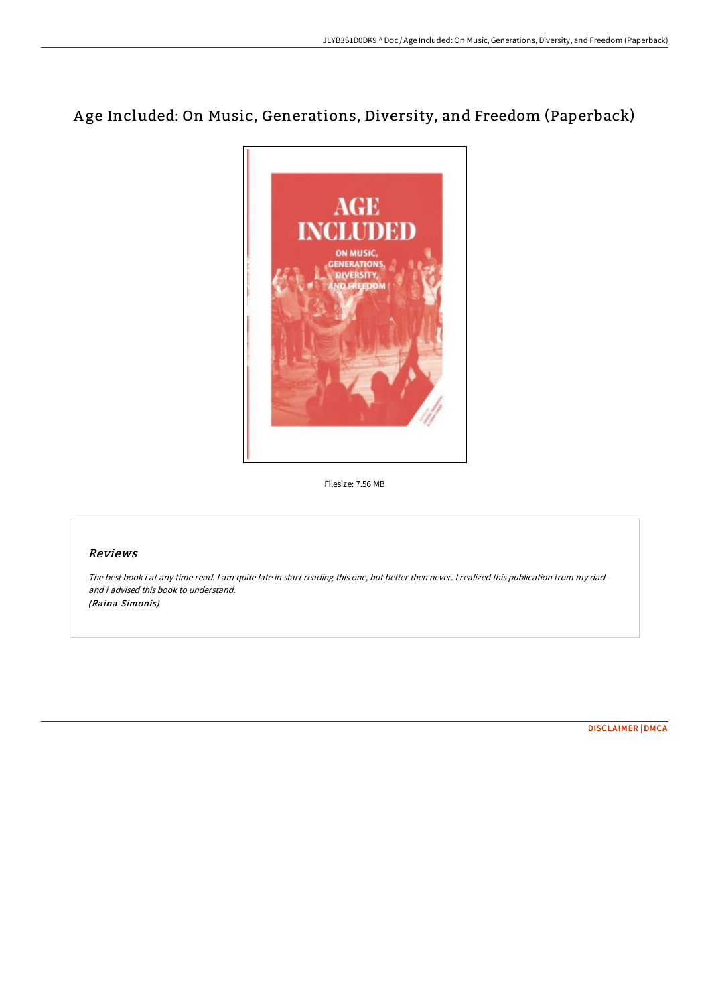## A ge Included: On Music, Generations, Diversity, and Freedom (Paperback)



Filesize: 7.56 MB

## Reviews

The best book i at any time read. <sup>I</sup> am quite late in start reading this one, but better then never. <sup>I</sup> realized this publication from my dad and i advised this book to understand. (Raina Simonis)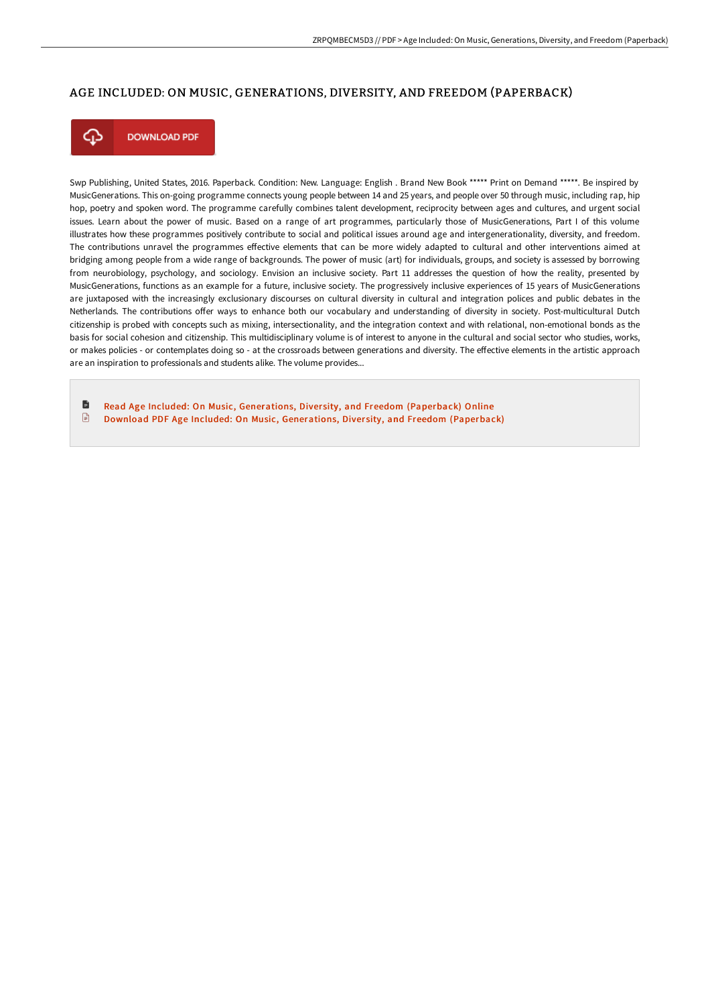## AGE INCLUDED: ON MUSIC, GENERATIONS, DIVERSITY, AND FREEDOM (PAPERBACK)



**DOWNLOAD PDF** 

Swp Publishing, United States, 2016. Paperback. Condition: New. Language: English . Brand New Book \*\*\*\*\* Print on Demand \*\*\*\*\*. Be inspired by MusicGenerations. This on-going programme connects young people between 14 and 25 years, and people over 50 through music, including rap, hip hop, poetry and spoken word. The programme carefully combines talent development, reciprocity between ages and cultures, and urgent social issues. Learn about the power of music. Based on a range of art programmes, particularly those of MusicGenerations, Part I of this volume illustrates how these programmes positively contribute to social and political issues around age and intergenerationality, diversity, and freedom. The contributions unravel the programmes effective elements that can be more widely adapted to cultural and other interventions aimed at bridging among people from a wide range of backgrounds. The power of music (art) for individuals, groups, and society is assessed by borrowing from neurobiology, psychology, and sociology. Envision an inclusive society. Part 11 addresses the question of how the reality, presented by MusicGenerations, functions as an example for a future, inclusive society. The progressively inclusive experiences of 15 years of MusicGenerations are juxtaposed with the increasingly exclusionary discourses on cultural diversity in cultural and integration polices and public debates in the Netherlands. The contributions offer ways to enhance both our vocabulary and understanding of diversity in society. Post-multicultural Dutch citizenship is probed with concepts such as mixing, intersectionality, and the integration context and with relational, non-emotional bonds as the basis for social cohesion and citizenship. This multidisciplinary volume is of interest to anyone in the cultural and social sector who studies, works, or makes policies - or contemplates doing so - at the crossroads between generations and diversity. The effective elements in the artistic approach are an inspiration to professionals and students alike. The volume provides...

D Read Age Included: On Music, [Generations,](http://albedo.media/age-included-on-music-generations-diversity-and-.html) Diversity, and Freedom (Paperback) Online  $\Box$ Download PDF Age Included: On Music, [Generations,](http://albedo.media/age-included-on-music-generations-diversity-and-.html) Diversity, and Freedom (Paperback)